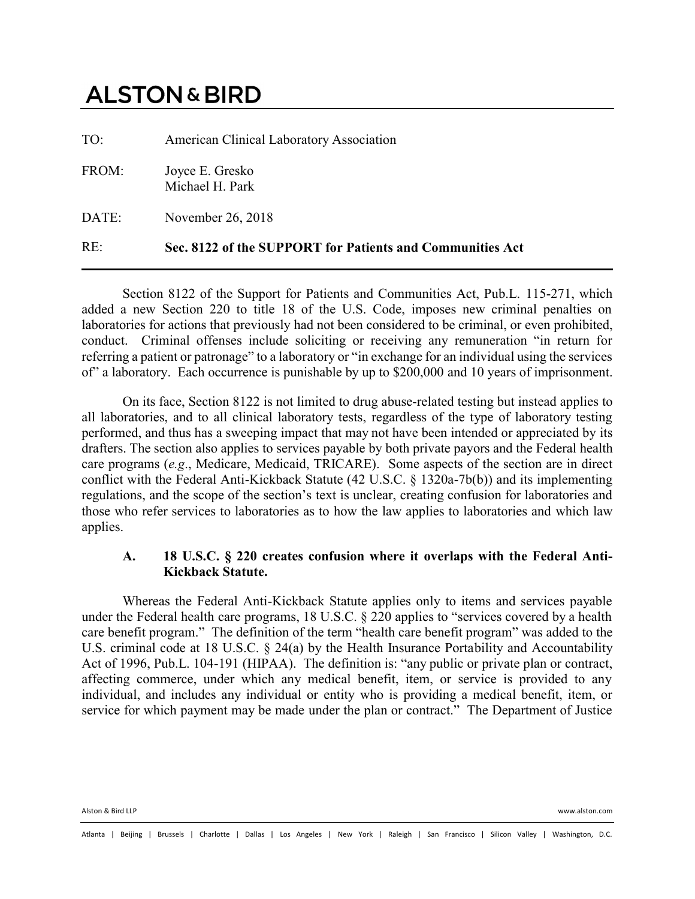# **ALSTON & BIRD**

| RE:   | Sec. 8122 of the SUPPORT for Patients and Communities Act |
|-------|-----------------------------------------------------------|
| DATE: | November 26, 2018                                         |
| FROM: | Joyce E. Gresko<br>Michael H. Park                        |
| TO:   | American Clinical Laboratory Association                  |

Section 8122 of the Support for Patients and Communities Act, Pub.L. 115-271, which added a new Section 220 to title 18 of the U.S. Code, imposes new criminal penalties on laboratories for actions that previously had not been considered to be criminal, or even prohibited, conduct. Criminal offenses include soliciting or receiving any remuneration "in return for referring a patient or patronage" to a laboratory or "in exchange for an individual using the services of" a laboratory. Each occurrence is punishable by up to \$200,000 and 10 years of imprisonment.

On its face, Section 8122 is not limited to drug abuse-related testing but instead applies to all laboratories, and to all clinical laboratory tests, regardless of the type of laboratory testing performed, and thus has a sweeping impact that may not have been intended or appreciated by its drafters. The section also applies to services payable by both private payors and the Federal health care programs (*e.g*., Medicare, Medicaid, TRICARE). Some aspects of the section are in direct conflict with the Federal Anti-Kickback Statute (42 U.S.C. § 1320a-7b(b)) and its implementing regulations, and the scope of the section's text is unclear, creating confusion for laboratories and those who refer services to laboratories as to how the law applies to laboratories and which law applies.

### **A. 18 U.S.C. § 220 creates confusion where it overlaps with the Federal Anti-Kickback Statute.**

Whereas the Federal Anti-Kickback Statute applies only to items and services payable under the Federal health care programs, 18 U.S.C. § 220 applies to "services covered by a health care benefit program." The definition of the term "health care benefit program" was added to the U.S. criminal code at 18 U.S.C. § 24(a) by the Health Insurance Portability and Accountability Act of 1996, Pub.L. 104-191 (HIPAA). The definition is: "any public or private plan or contract, affecting commerce, under which any medical benefit, item, or service is provided to any individual, and includes any individual or entity who is providing a medical benefit, item, or service for which payment may be made under the plan or contract." The Department of Justice

Alston & Bird LLP www.alston.com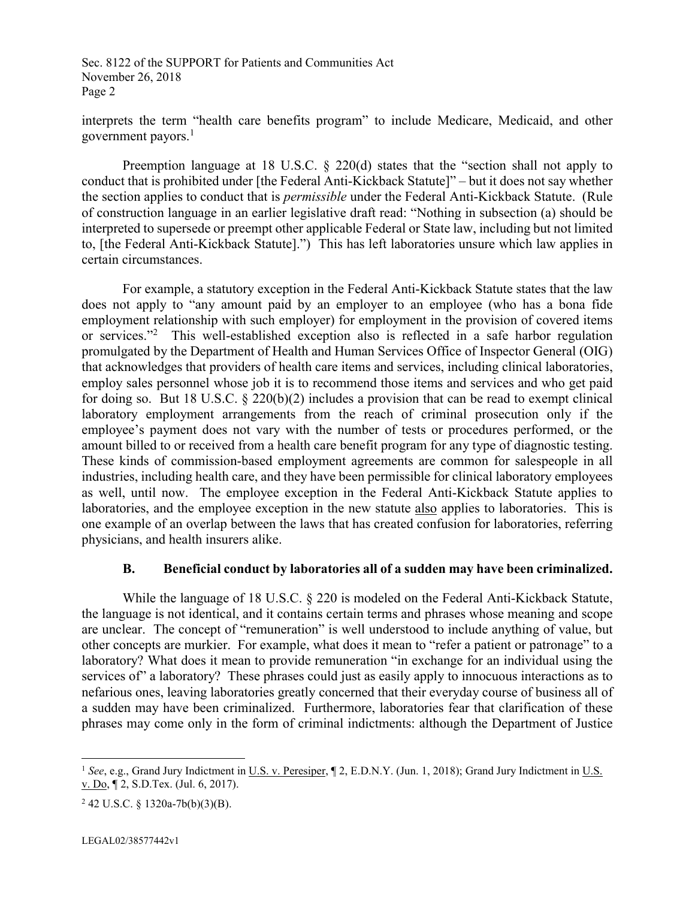Sec. 8122 of the SUPPORT for Patients and Communities Act November 26, 2018 Page 2

interprets the term "health care benefits program" to include Medicare, Medicaid, and other government payors. $<sup>1</sup>$ </sup>

Preemption language at 18 U.S.C. § 220(d) states that the "section shall not apply to conduct that is prohibited under [the Federal Anti-Kickback Statute]" – but it does not say whether the section applies to conduct that is *permissible* under the Federal Anti-Kickback Statute. (Rule of construction language in an earlier legislative draft read: "Nothing in subsection (a) should be interpreted to supersede or preempt other applicable Federal or State law, including but not limited to, [the Federal Anti-Kickback Statute].") This has left laboratories unsure which law applies in certain circumstances.

For example, a statutory exception in the Federal Anti-Kickback Statute states that the law does not apply to "any amount paid by an employer to an employee (who has a bona fide employment relationship with such employer) for employment in the provision of covered items or services."<sup>2</sup> This well-established exception also is reflected in a safe harbor regulation promulgated by the Department of Health and Human Services Office of Inspector General (OIG) that acknowledges that providers of health care items and services, including clinical laboratories, employ sales personnel whose job it is to recommend those items and services and who get paid for doing so. But 18 U.S.C.  $\S$  220(b)(2) includes a provision that can be read to exempt clinical laboratory employment arrangements from the reach of criminal prosecution only if the employee's payment does not vary with the number of tests or procedures performed, or the amount billed to or received from a health care benefit program for any type of diagnostic testing. These kinds of commission-based employment agreements are common for salespeople in all industries, including health care, and they have been permissible for clinical laboratory employees as well, until now. The employee exception in the Federal Anti-Kickback Statute applies to laboratories, and the employee exception in the new statute also applies to laboratories. This is one example of an overlap between the laws that has created confusion for laboratories, referring physicians, and health insurers alike.

#### **B. Beneficial conduct by laboratories all of a sudden may have been criminalized.**

While the language of 18 U.S.C. § 220 is modeled on the Federal Anti-Kickback Statute, the language is not identical, and it contains certain terms and phrases whose meaning and scope are unclear. The concept of "remuneration" is well understood to include anything of value, but other concepts are murkier. For example, what does it mean to "refer a patient or patronage" to a laboratory? What does it mean to provide remuneration "in exchange for an individual using the services of" a laboratory? These phrases could just as easily apply to innocuous interactions as to nefarious ones, leaving laboratories greatly concerned that their everyday course of business all of a sudden may have been criminalized. Furthermore, laboratories fear that clarification of these phrases may come only in the form of criminal indictments: although the Department of Justice

l

<sup>&</sup>lt;sup>1</sup> See, e.g., Grand Jury Indictment in U.S. v. Peresiper, ¶ 2, E.D.N.Y. (Jun. 1, 2018); Grand Jury Indictment in U.S. v. Do, ¶ 2, S.D.Tex. (Jul. 6, 2017).

 $2$  42 U.S.C. § 1320a-7b(b)(3)(B).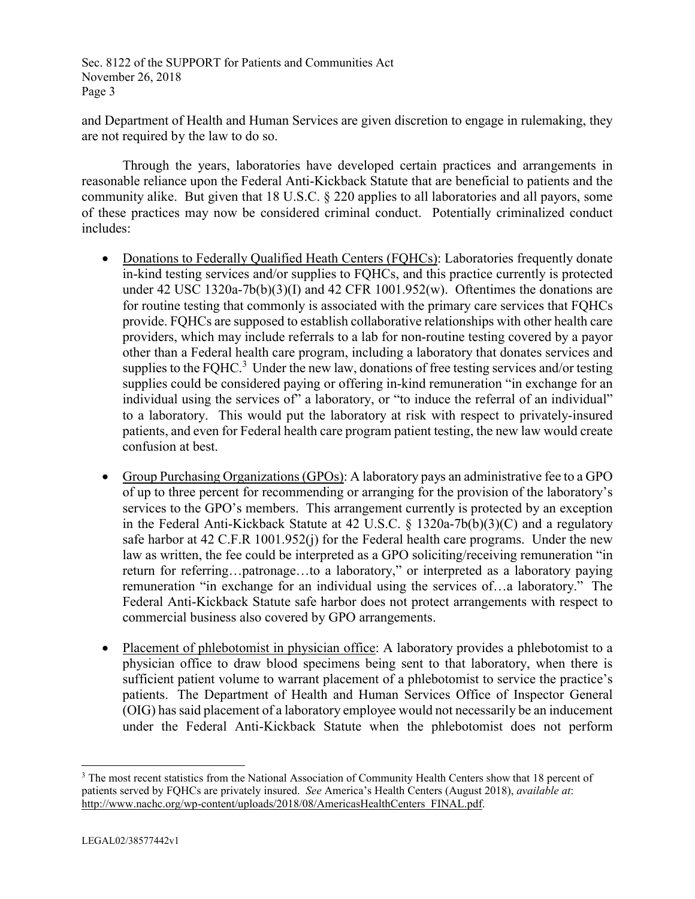Sec. 8122 of the SUPPORT for Patients and Communities Act November 26, 2018 Page 3

and Department of Health and Human Services are given discretion to engage in rulemaking, they are not required by the law to do so.

Through the years, laboratories have developed certain practices and arrangements in reasonable reliance upon the Federal Anti-Kickback Statute that are beneficial to patients and the community alike. But given that 18 U.S.C. § 220 applies to all laboratories and all payors, some of these practices may now be considered criminal conduct. Potentially criminalized conduct includes:

- Donations to Federally Qualified Heath Centers (FQHCs): Laboratories frequently donate in-kind testing services and/or supplies to FQHCs, and this practice currently is protected under 42 USC 1320a-7b(b)(3)(I) and 42 CFR 1001.952(w). Oftentimes the donations are for routine testing that commonly is associated with the primary care services that FQHCs provide. FQHCs are supposed to establish collaborative relationships with other health care providers, which may include referrals to a lab for non-routine testing covered by a payor other than a Federal health care program, including a laboratory that donates services and supplies to the FQHC. $3$  Under the new law, donations of free testing services and/or testing supplies could be considered paying or offering in-kind remuneration "in exchange for an individual using the services of" a laboratory, or "to induce the referral of an individual" to a laboratory. This would put the laboratory at risk with respect to privately-insured patients, and even for Federal health care program patient testing, the new law would create confusion at best.
- Group Purchasing Organizations (GPOs): A laboratory pays an administrative fee to a GPO of up to three percent for recommending or arranging for the provision of the laboratory's services to the GPO's members. This arrangement currently is protected by an exception in the Federal Anti-Kickback Statute at 42 U.S.C. § 1320a-7b(b)(3)(C) and a regulatory safe harbor at 42 C.F.R 1001.952(j) for the Federal health care programs. Under the new law as written, the fee could be interpreted as a GPO soliciting/receiving remuneration "in return for referring…patronage…to a laboratory," or interpreted as a laboratory paying remuneration "in exchange for an individual using the services of…a laboratory." The Federal Anti-Kickback Statute safe harbor does not protect arrangements with respect to commercial business also covered by GPO arrangements.
- Placement of phlebotomist in physician office: A laboratory provides a phlebotomist to a physician office to draw blood specimens being sent to that laboratory, when there is sufficient patient volume to warrant placement of a phlebotomist to service the practice's patients. The Department of Health and Human Services Office of Inspector General (OIG) has said placement of a laboratory employee would not necessarily be an inducement under the Federal Anti-Kickback Statute when the phlebotomist does not perform

l

<sup>&</sup>lt;sup>3</sup> The most recent statistics from the National Association of Community Health Centers show that 18 percent of patients served by FQHCs are privately insured. *See* America's Health Centers (August 2018), *available at*: http://www.nachc.org/wp-content/uploads/2018/08/AmericasHealthCenters\_FINAL.pdf.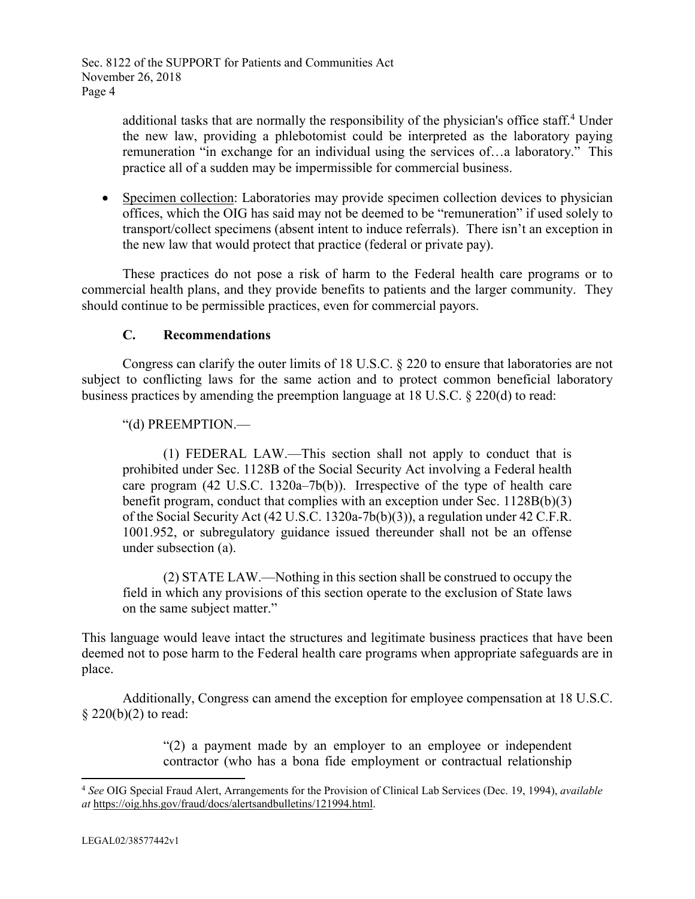additional tasks that are normally the responsibility of the physician's office staff.<sup>4</sup> Under the new law, providing a phlebotomist could be interpreted as the laboratory paying remuneration "in exchange for an individual using the services of…a laboratory." This practice all of a sudden may be impermissible for commercial business.

• Specimen collection: Laboratories may provide specimen collection devices to physician offices, which the OIG has said may not be deemed to be "remuneration" if used solely to transport/collect specimens (absent intent to induce referrals). There isn't an exception in the new law that would protect that practice (federal or private pay).

These practices do not pose a risk of harm to the Federal health care programs or to commercial health plans, and they provide benefits to patients and the larger community. They should continue to be permissible practices, even for commercial payors.

## **C. Recommendations**

Congress can clarify the outer limits of 18 U.S.C. § 220 to ensure that laboratories are not subject to conflicting laws for the same action and to protect common beneficial laboratory business practices by amending the preemption language at 18 U.S.C. § 220(d) to read:

## "(d) PREEMPTION.—

(1) FEDERAL LAW.—This section shall not apply to conduct that is prohibited under Sec. 1128B of the Social Security Act involving a Federal health care program (42 U.S.C. 1320a–7b(b)). Irrespective of the type of health care benefit program, conduct that complies with an exception under Sec. 1128B(b)(3) of the Social Security Act (42 U.S.C. 1320a-7b(b)(3)), a regulation under 42 C.F.R. 1001.952, or subregulatory guidance issued thereunder shall not be an offense under subsection (a).

(2) STATE LAW.—Nothing in this section shall be construed to occupy the field in which any provisions of this section operate to the exclusion of State laws on the same subject matter."

This language would leave intact the structures and legitimate business practices that have been deemed not to pose harm to the Federal health care programs when appropriate safeguards are in place.

Additionally, Congress can amend the exception for employee compensation at 18 U.S.C.  $\S 220(b)(2)$  to read:

> "(2) a payment made by an employer to an employee or independent contractor (who has a bona fide employment or contractual relationship

l

<sup>4</sup> *See* OIG Special Fraud Alert, Arrangements for the Provision of Clinical Lab Services (Dec. 19, 1994), *available at* https://oig.hhs.gov/fraud/docs/alertsandbulletins/121994.html.